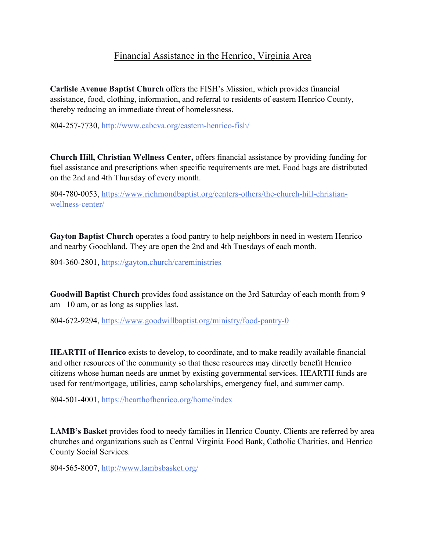## Financial Assistance in the Henrico, Virginia Area

**Carlisle Avenue Baptist Church** offers the FISH's Mission, which provides financial assistance, food, clothing, information, and referral to residents of eastern Henrico County, thereby reducing an immediate threat of homelessness.

804-257-7730, http://www.cabcva.org/eastern-henrico-fish/

**Church Hill, Christian Wellness Center,** offers financial assistance by providing funding for fuel assistance and prescriptions when specific requirements are met. Food bags are distributed on the 2nd and 4th Thursday of every month.

804-780-0053, https://www.richmondbaptist.org/centers-others/the-church-hill-christianwellness-center/

**Gayton Baptist Church** operates a food pantry to help neighbors in need in western Henrico and nearby Goochland. They are open the 2nd and 4th Tuesdays of each month.

804-360-2801, https://gayton.church/careministries

**Goodwill Baptist Church** provides food assistance on the 3rd Saturday of each month from 9 am– 10 am, or as long as supplies last.

804-672-9294, https://www.goodwillbaptist.org/ministry/food-pantry-0

**HEARTH of Henrico** exists to develop, to coordinate, and to make readily available financial and other resources of the community so that these resources may directly benefit Henrico citizens whose human needs are unmet by existing governmental services. HEARTH funds are used for rent/mortgage, utilities, camp scholarships, emergency fuel, and summer camp.

804-501-4001, https://hearthofhenrico.org/home/index

**LAMB's Basket** provides food to needy families in Henrico County. Clients are referred by area churches and organizations such as Central Virginia Food Bank, Catholic Charities, and Henrico County Social Services.

804-565-8007, http://www.lambsbasket.org/